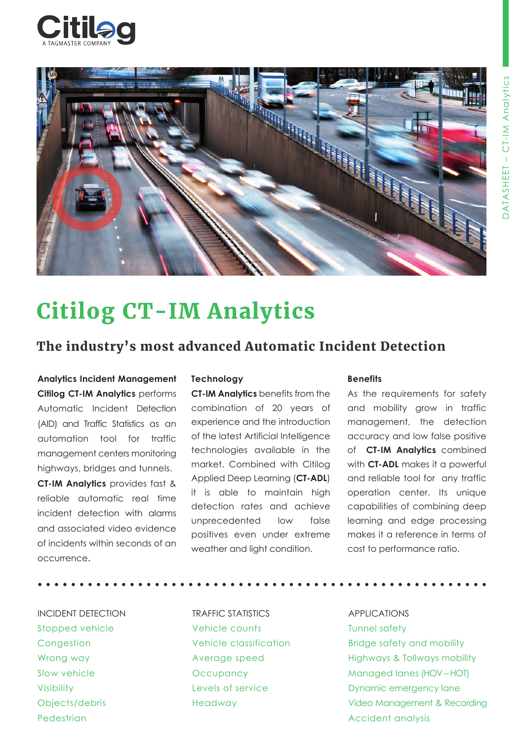



# Citilog CT-IM Analytics

# The industry's most advanced Automatic Incident Detection

**Analytics Incident Management Citilog CT-IM Analytics** performs Automatic Incident Detection (AID) and Traffic Statistics as an automation tool for traffic management centers monitoring highways, bridges and tunnels. **CT-IM Analytics** provides fast & reliable automatic real time incident detection with alarms and associated video evidence of incidents within seconds of an occurrence.

### **Technology**

**CT-IM Analytics** benefits from the combination of 20 years of experience and the introduction of the latest Artificial Intelligence technologies available in the market. Combined with Citilog Applied Deep Learning (**CT-ADL**) it is able to maintain high detection rates and achieve unprecedented low false positives even under extreme weather and light condition.

### **Benefits**

As the requirements for safety and mobility grow in traffic management, the detection accuracy and low false positive of **CT-IM Analytics** combined with **CT-ADL** makes it a powerful and reliable tool for any traffic operation center. Its unique capabilities of combining deep learning and edge processing makes it a reference in terms of cost to performance ratio.

**• • • • • • • • • • • • • • • • • • • • • • • • • • • • • • • • • • • • • • • • • • • • • • • • • • • • • • •**

INCIDENT DETECTION Stopped vehicle **Congestion** Wrong way Slow vehicle Visibility Objects/debris Pedestrian

TRAFFIC STATISTICS Vehicle counts Vehicle classification Average speed **Occupancy** Levels of service Headway

APPLICATIONS Tunnel safety Bridge safety and mobility Highways & Tollways mobility Managed lanes (HOV – HOT) Dynamic emergency lane Video Management & Recording Accident analysis